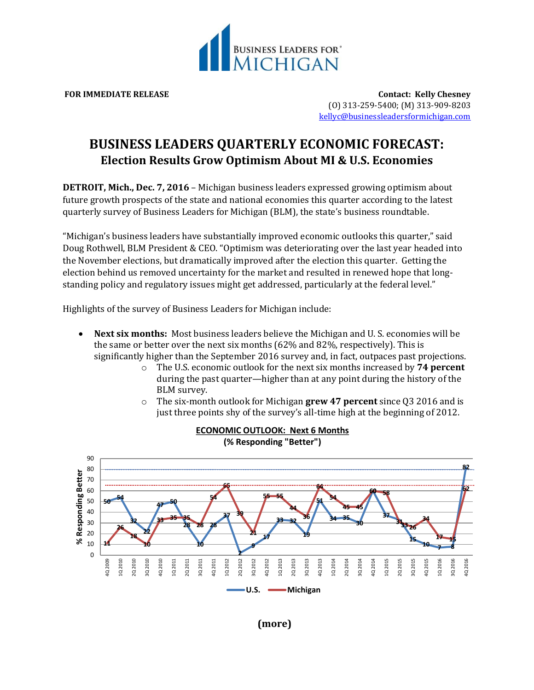

**FOR IMMEDIATE RELEASE Contact: Kelly Chesney** (O) 313-259-5400; (M) 313-909-8203 [kellyc@businessleadersformichigan.com](mailto:kellyc@businessleadersformichigan.com)

## **BUSINESS LEADERS QUARTERLY ECONOMIC FORECAST: Election Results Grow Optimism About MI & U.S. Economies**

**DETROIT, Mich., Dec. 7, 2016** – Michigan business leaders expressed growing optimism about future growth prospects of the state and national economies this quarter according to the latest quarterly survey of Business Leaders for Michigan (BLM), the state's business roundtable.

"Michigan's business leaders have substantially improved economic outlooks this quarter," said Doug Rothwell, BLM President & CEO. "Optimism was deteriorating over the last year headed into the November elections, but dramatically improved after the election this quarter. Getting the election behind us removed uncertainty for the market and resulted in renewed hope that longstanding policy and regulatory issues might get addressed, particularly at the federal level."

Highlights of the survey of Business Leaders for Michigan include:

- **Next six months:** Most business leaders believe the Michigan and U. S. economies will be the same or better over the next six months (62% and 82%, respectively). This is significantly higher than the September 2016 survey and, in fact, outpaces past projections.
	- o The U.S. economic outlook for the next six months increased by **74 percent** during the past quarter—higher than at any point during the history of the BLM survey.
	- o The six-month outlook for Michigan **grew 47 percent** since Q3 2016 and is just three points shy of the survey's all-time high at the beginning of 2012.



**ECONOMIC OUTLOOK: Next 6 Months**